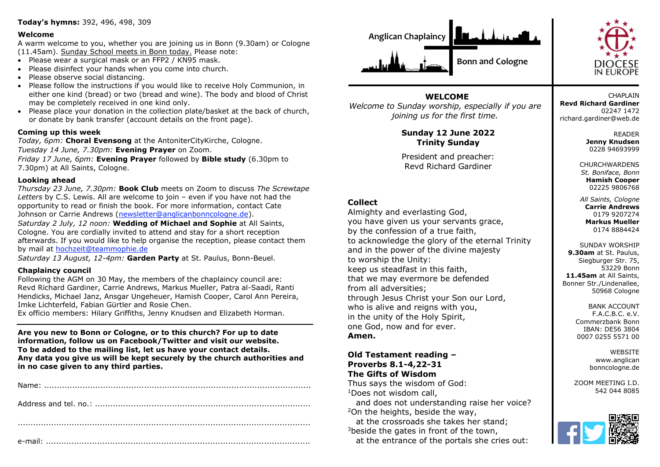#### **Today's hymns:** 392, 496, 498, 309

#### **Welcome**

A warm welcome to you, whether you are joining us in Bonn (9.30am) or Cologne (11.45am). Sunday School meets in Bonn today. Please note:

- Please wear a surgical mask or an FFP2 / KN95 mask.
- Please disinfect your hands when you come into church.
- Please observe social distancing.
- Please follow the instructions if you would like to receive Holy Communion, in either one kind (bread) or two (bread and wine). The body and blood of Christ may be completely received in one kind only.
- Please place your donation in the collection plate/basket at the back of church, or donate by bank transfer (account details on the front page).

#### **Coming up this week**

*Today, 6pm:* **Choral Evensong** at the AntoniterCityKirche, Cologne. *Tuesday 14 June, 7.30pm:* **Evening Prayer** on Zoom.

*Friday 17 June, 6pm:* **Evening Prayer** followed by **Bible study** (6.30pm to 7.30pm) at All Saints, Cologne.

#### **Looking ahead**

*Thursday 23 June, 7.30pm:* **Book Club** meets on Zoom to discuss *The Screwtape Letters* by C.S. Lewis. All are welcome to join – even if you have not had the opportunity to read or finish the book. For more information, contact Cate Johnson or Carrie Andrews [\(newsletter@anglicanbonncologne.de\)](mailto:newsletter@anglicanbonncologne.de).

*Saturday 2 July, 12 noon:* **Wedding of Michael and Sophie** at All Saints, Cologne. You are cordially invited to attend and stay for a short reception afterwards. If you would like to help organise the reception, please contact them by mail at [hochzeit@teammophie.de](mailto:hochzeit@teammophie.de)

*Saturday 13 August, 12-4pm:* **Garden Party** at St. Paulus, Bonn-Beuel.

#### **Chaplaincy council**

Following the AGM on 30 May, the members of the chaplaincy council are: Revd Richard Gardiner, Carrie Andrews, Markus Mueller, Patra al-Saadi, Ranti Hendicks, Michael Janz, Ansgar Ungeheuer, Hamish Cooper, Carol Ann Pereira, Imke Lichterfeld, Fabian Gürtler and Rosie Chen.

Ex officio members: Hilary Griffiths, Jenny Knudsen and Elizabeth Horman.

**Are you new to Bonn or Cologne, or to this church? For up to date information, follow us on Facebook/Twitter and visit our website. To be added to the mailing list, let us have your contact details. Any data you give us will be kept securely by the church authorities and in no case given to any third parties.**





**CHAPLAIN Revd Richard Gardiner** 02247 1472 richard.gardiner@web.de

> READER **Jenny Knudsen** 0228 94693999

CHURCHWARDENS *St. Boniface, Bonn* **Hamish Cooper** 02225 9806768

*All Saints, Cologne* **Carrie Andrews** 0179 9207274 **Markus Mueller** 0174 8884424

SUNDAY WORSHIP **9.30am** at St. Paulus, Siegburger Str. 75, 53229 Bonn **11.45am** at All Saints, Bonner Str./Lindenallee, 50968 Cologne

> BANK ACCOUNT F.A.C.B.C. e.V. Commerzbank Bonn IBAN: DE56 3804 0007 0255 5571 00

> > **WEBSITE** www.anglican bonncologne.de

ZOOM MEETING I.D. 542 044 8085



# **WELCOME**

*Welcome to Sunday worship, especially if you are joining us for the first time.*

# **Sunday 12 June 2022 Trinity Sunday**

President and preacher: Revd Richard Gardiner

# **Collect**

Almighty and everlasting God, you have given us your servants grace, by the confession of a true faith, to acknowledge the glory of the eternal Trinity and in the power of the divine majesty to worship the Unity: keep us steadfast in this faith, that we may evermore be defended from all adversities; through Jesus Christ your Son our Lord, who is alive and reigns with you, in the unity of the Holy Spirit, one God, now and for ever. **Amen.**

**Old Testament reading – Proverbs 8.1-4,22-31 The Gifts of Wisdom**

Thus says the wisdom of God: <sup>1</sup>Does not wisdom call,

 and does not understanding raise her voice? <sup>2</sup>On the heights, beside the way, at the crossroads she takes her stand;  $3$ beside the gates in front of the town,

at the entrance of the portals she cries out: